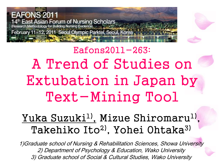



#### <u>Yuka Suzuki<sup>l)</sup>,</u> Mizue Shiromaru<sup>l)</sup>, Takehiko Ito<sup>2)</sup>, Yohei Ohtaka<sup>3)</sup>

1)Graduate school of Nursing & Rehabilitation Sciences, Showa University 2) Department of Psychology & Education, Wako University 3) Graduate school of Social & Cultural Studies, Wako University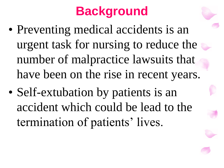# **Background**

- Preventing medical accidents is an urgent task for nursing to reduce the number of malpractice lawsuits that have been on the rise in recent years.
- Self-extubation by patients is an accident which could be lead to the termination of patients' lives.

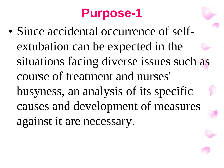## **Purpose-1**

• Since accidental occurrence of selfextubation can be expected in the situations facing diverse issues such as course of treatment and nurses' busyness, an analysis of its specific causes and development of measures against it are necessary.

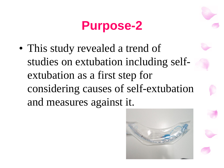## **Purpose-2**

• This study revealed a trend of studies on extubation including selfextubation as a first step for considering causes of self-extubation and measures against it.

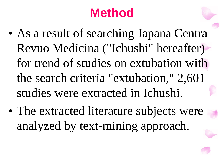## **Method**

- As a result of searching Japana Centra Revuo Medicina ("Ichushi" hereafter) for trend of studies on extubation with the search criteria "extubation," 2,601 studies were extracted in Ichushi.
- The extracted literature subjects were analyzed by text-mining approach.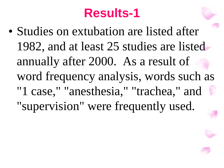## **Results-1**

• Studies on extubation are listed after 1982, and at least 25 studies are listed annually after 2000. As a result of word frequency analysis, words such as "1 case," "anesthesia," "trachea," and "supervision" were frequently used.

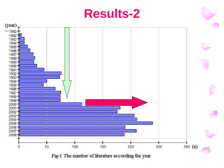

Fig-1 The number of literature according the year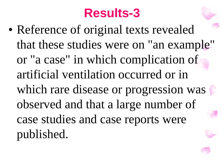## **Results-3**

• Reference of original texts revealed that these studies were on "an example" or "a case" in which complication of artificial ventilation occurred or in which rare disease or progression was observed and that a large number of case studies and case reports were published.

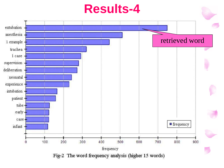#### **Results-4**

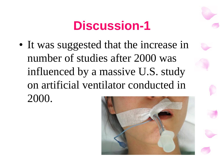## **Discussion-1**

• It was suggested that the increase in number of studies after 2000 was influenced by a massive U.S. study on artificial ventilator conducted in 2000.

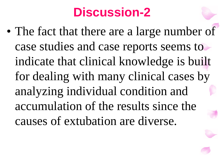## **Discussion-2**

• The fact that there are a large number of case studies and case reports seems to indicate that clinical knowledge is built for dealing with many clinical cases by analyzing individual condition and accumulation of the results since the causes of extubation are diverse.